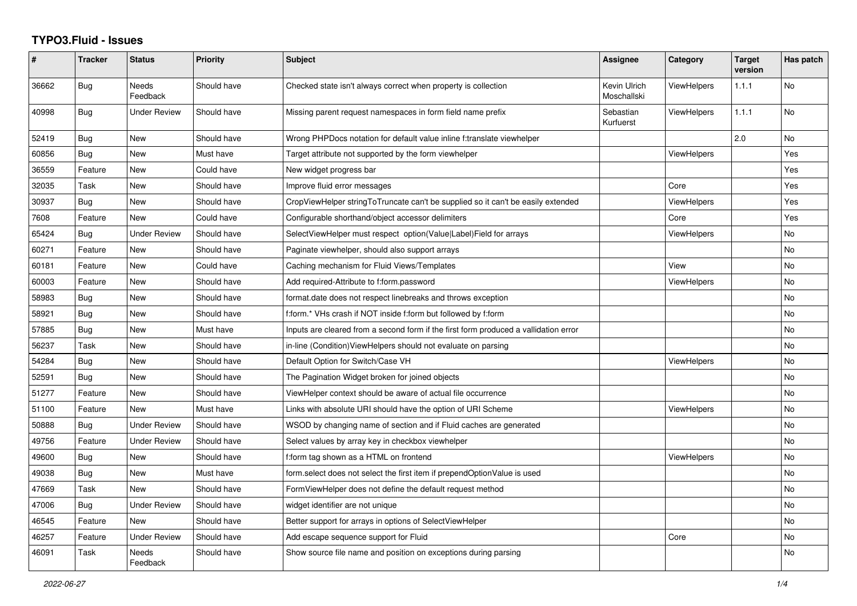## **TYPO3.Fluid - Issues**

| #     | <b>Tracker</b> | <b>Status</b>            | <b>Priority</b> | Subject                                                                              | <b>Assignee</b>             | Category           | <b>Target</b><br>version | Has patch |
|-------|----------------|--------------------------|-----------------|--------------------------------------------------------------------------------------|-----------------------------|--------------------|--------------------------|-----------|
| 36662 | Bug            | Needs<br>Feedback        | Should have     | Checked state isn't always correct when property is collection                       | Kevin Ulrich<br>Moschallski | ViewHelpers        | 1.1.1                    | No        |
| 40998 | Bug            | <b>Under Review</b>      | Should have     | Missing parent request namespaces in form field name prefix                          | Sebastian<br>Kurfuerst      | <b>ViewHelpers</b> | 1.1.1                    | No        |
| 52419 | Bug            | New                      | Should have     | Wrong PHPDocs notation for default value inline f:translate viewhelper               |                             |                    | 2.0                      | <b>No</b> |
| 60856 | <b>Bug</b>     | <b>New</b>               | Must have       | Target attribute not supported by the form viewhelper                                |                             | ViewHelpers        |                          | Yes       |
| 36559 | Feature        | New                      | Could have      | New widget progress bar                                                              |                             |                    |                          | Yes       |
| 32035 | Task           | New                      | Should have     | Improve fluid error messages                                                         |                             | Core               |                          | Yes       |
| 30937 | Bug            | <b>New</b>               | Should have     | CropViewHelper stringToTruncate can't be supplied so it can't be easily extended     |                             | ViewHelpers        |                          | Yes       |
| 7608  | Feature        | New                      | Could have      | Configurable shorthand/object accessor delimiters                                    |                             | Core               |                          | Yes       |
| 65424 | <b>Bug</b>     | <b>Under Review</b>      | Should have     | SelectViewHelper must respect option(Value Label)Field for arrays                    |                             | <b>ViewHelpers</b> |                          | No        |
| 60271 | Feature        | <b>New</b>               | Should have     | Paginate viewhelper, should also support arrays                                      |                             |                    |                          | <b>No</b> |
| 60181 | Feature        | <b>New</b>               | Could have      | Caching mechanism for Fluid Views/Templates                                          |                             | View               |                          | <b>No</b> |
| 60003 | Feature        | <b>New</b>               | Should have     | Add required-Attribute to f:form.password                                            |                             | <b>ViewHelpers</b> |                          | <b>No</b> |
| 58983 | Bug            | New                      | Should have     | format.date does not respect linebreaks and throws exception                         |                             |                    |                          | No        |
| 58921 | Bug            | New                      | Should have     | f:form.* VHs crash if NOT inside f:form but followed by f:form                       |                             |                    |                          | No        |
| 57885 | Bug            | New                      | Must have       | Inputs are cleared from a second form if the first form produced a vallidation error |                             |                    |                          | No        |
| 56237 | Task           | <b>New</b>               | Should have     | in-line (Condition) ViewHelpers should not evaluate on parsing                       |                             |                    |                          | <b>No</b> |
| 54284 | Bug            | <b>New</b>               | Should have     | Default Option for Switch/Case VH                                                    |                             | <b>ViewHelpers</b> |                          | <b>No</b> |
| 52591 | Bug            | New                      | Should have     | The Pagination Widget broken for joined objects                                      |                             |                    |                          | No        |
| 51277 | Feature        | New                      | Should have     | ViewHelper context should be aware of actual file occurrence                         |                             |                    |                          | No        |
| 51100 | Feature        | <b>New</b>               | Must have       | Links with absolute URI should have the option of URI Scheme                         |                             | ViewHelpers        |                          | <b>No</b> |
| 50888 | Bug            | <b>Under Review</b>      | Should have     | WSOD by changing name of section and if Fluid caches are generated                   |                             |                    |                          | <b>No</b> |
| 49756 | Feature        | <b>Under Review</b>      | Should have     | Select values by array key in checkbox viewhelper                                    |                             |                    |                          | <b>No</b> |
| 49600 | Bug            | <b>New</b>               | Should have     | f:form tag shown as a HTML on frontend                                               |                             | <b>ViewHelpers</b> |                          | <b>No</b> |
| 49038 | Bug            | <b>New</b>               | Must have       | form.select does not select the first item if prependOptionValue is used             |                             |                    |                          | <b>No</b> |
| 47669 | Task           | <b>New</b>               | Should have     | FormViewHelper does not define the default request method                            |                             |                    |                          | <b>No</b> |
| 47006 | Bug            | <b>Under Review</b>      | Should have     | widget identifier are not unique                                                     |                             |                    |                          | No        |
| 46545 | Feature        | New                      | Should have     | Better support for arrays in options of SelectViewHelper                             |                             |                    |                          | No        |
| 46257 | Feature        | <b>Under Review</b>      | Should have     | Add escape sequence support for Fluid                                                |                             | Core               |                          | <b>No</b> |
| 46091 | Task           | <b>Needs</b><br>Feedback | Should have     | Show source file name and position on exceptions during parsing                      |                             |                    |                          | <b>No</b> |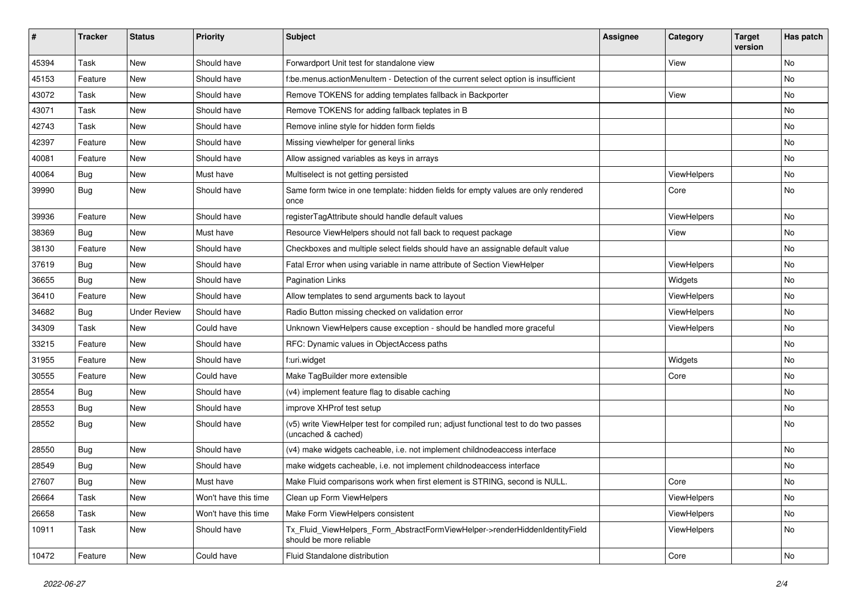| #     | <b>Tracker</b> | <b>Status</b>       | <b>Priority</b>      | <b>Subject</b>                                                                                              | <b>Assignee</b> | Category    | <b>Target</b><br>version | Has patch |
|-------|----------------|---------------------|----------------------|-------------------------------------------------------------------------------------------------------------|-----------------|-------------|--------------------------|-----------|
| 45394 | Task           | New                 | Should have          | Forwardport Unit test for standalone view                                                                   |                 | View        |                          | <b>No</b> |
| 45153 | Feature        | New                 | Should have          | f:be.menus.actionMenuItem - Detection of the current select option is insufficient                          |                 |             |                          | No        |
| 43072 | Task           | New                 | Should have          | Remove TOKENS for adding templates fallback in Backporter                                                   |                 | View        |                          | No        |
| 43071 | Task           | New                 | Should have          | Remove TOKENS for adding fallback teplates in B                                                             |                 |             |                          | No        |
| 42743 | Task           | New                 | Should have          | Remove inline style for hidden form fields                                                                  |                 |             |                          | No        |
| 42397 | Feature        | New                 | Should have          | Missing viewhelper for general links                                                                        |                 |             |                          | No        |
| 40081 | Feature        | New                 | Should have          | Allow assigned variables as keys in arrays                                                                  |                 |             |                          | No        |
| 40064 | Bug            | New                 | Must have            | Multiselect is not getting persisted                                                                        |                 | ViewHelpers |                          | No        |
| 39990 | Bug            | New                 | Should have          | Same form twice in one template: hidden fields for empty values are only rendered<br>once                   |                 | Core        |                          | No        |
| 39936 | Feature        | New                 | Should have          | registerTagAttribute should handle default values                                                           |                 | ViewHelpers |                          | <b>No</b> |
| 38369 | Bug            | New                 | Must have            | Resource ViewHelpers should not fall back to request package                                                |                 | View        |                          | No        |
| 38130 | Feature        | New                 | Should have          | Checkboxes and multiple select fields should have an assignable default value                               |                 |             |                          | No        |
| 37619 | Bug            | New                 | Should have          | Fatal Error when using variable in name attribute of Section ViewHelper                                     |                 | ViewHelpers |                          | No        |
| 36655 | Bug            | New                 | Should have          | <b>Pagination Links</b>                                                                                     |                 | Widgets     |                          | No        |
| 36410 | Feature        | New                 | Should have          | Allow templates to send arguments back to layout                                                            |                 | ViewHelpers |                          | No        |
| 34682 | Bug            | <b>Under Review</b> | Should have          | Radio Button missing checked on validation error                                                            |                 | ViewHelpers |                          | No        |
| 34309 | Task           | New                 | Could have           | Unknown ViewHelpers cause exception - should be handled more graceful                                       |                 | ViewHelpers |                          | No        |
| 33215 | Feature        | New                 | Should have          | RFC: Dynamic values in ObjectAccess paths                                                                   |                 |             |                          | <b>No</b> |
| 31955 | Feature        | New                 | Should have          | f:uri.widget                                                                                                |                 | Widgets     |                          | No        |
| 30555 | Feature        | New                 | Could have           | Make TagBuilder more extensible                                                                             |                 | Core        |                          | No        |
| 28554 | Bug            | New                 | Should have          | (v4) implement feature flag to disable caching                                                              |                 |             |                          | <b>No</b> |
| 28553 | Bug            | New                 | Should have          | improve XHProf test setup                                                                                   |                 |             |                          | No        |
| 28552 | Bug            | New                 | Should have          | (v5) write ViewHelper test for compiled run; adjust functional test to do two passes<br>(uncached & cached) |                 |             |                          | <b>No</b> |
| 28550 | Bug            | New                 | Should have          | (v4) make widgets cacheable, i.e. not implement childnodeaccess interface                                   |                 |             |                          | <b>No</b> |
| 28549 | <b>Bug</b>     | New                 | Should have          | make widgets cacheable, i.e. not implement childnodeaccess interface                                        |                 |             |                          | No        |
| 27607 | Bug            | New                 | Must have            | Make Fluid comparisons work when first element is STRING, second is NULL.                                   |                 | Core        |                          | No        |
| 26664 | Task           | New                 | Won't have this time | Clean up Form ViewHelpers                                                                                   |                 | ViewHelpers |                          | No        |
| 26658 | Task           | New                 | Won't have this time | Make Form ViewHelpers consistent                                                                            |                 | ViewHelpers |                          | No        |
| 10911 | Task           | New                 | Should have          | Tx_Fluid_ViewHelpers_Form_AbstractFormViewHelper->renderHiddenIdentityField<br>should be more reliable      |                 | ViewHelpers |                          | No        |
| 10472 | Feature        | New                 | Could have           | Fluid Standalone distribution                                                                               |                 | Core        |                          | No        |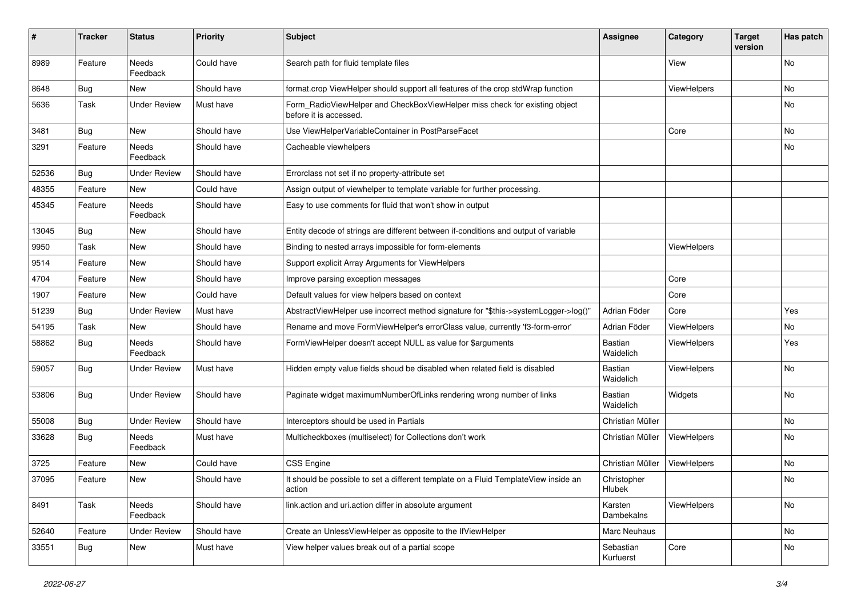| #     | <b>Tracker</b> | <b>Status</b>            | <b>Priority</b> | Subject                                                                                              | <b>Assignee</b>        | Category    | <b>Target</b><br>version | Has patch |
|-------|----------------|--------------------------|-----------------|------------------------------------------------------------------------------------------------------|------------------------|-------------|--------------------------|-----------|
| 8989  | Feature        | <b>Needs</b><br>Feedback | Could have      | Search path for fluid template files                                                                 |                        | View        |                          | <b>No</b> |
| 8648  | Bug            | New                      | Should have     | format.crop ViewHelper should support all features of the crop stdWrap function                      |                        | ViewHelpers |                          | No        |
| 5636  | Task           | <b>Under Review</b>      | Must have       | Form_RadioViewHelper and CheckBoxViewHelper miss check for existing object<br>before it is accessed. |                        |             |                          | No        |
| 3481  | Bug            | <b>New</b>               | Should have     | Use ViewHelperVariableContainer in PostParseFacet                                                    |                        | Core        |                          | No        |
| 3291  | Feature        | Needs<br>Feedback        | Should have     | Cacheable viewhelpers                                                                                |                        |             |                          | No        |
| 52536 | Bug            | <b>Under Review</b>      | Should have     | Errorclass not set if no property-attribute set                                                      |                        |             |                          |           |
| 48355 | Feature        | New                      | Could have      | Assign output of viewhelper to template variable for further processing.                             |                        |             |                          |           |
| 45345 | Feature        | Needs<br>Feedback        | Should have     | Easy to use comments for fluid that won't show in output                                             |                        |             |                          |           |
| 13045 | Bug            | New                      | Should have     | Entity decode of strings are different between if-conditions and output of variable                  |                        |             |                          |           |
| 9950  | Task           | New                      | Should have     | Binding to nested arrays impossible for form-elements                                                |                        | ViewHelpers |                          |           |
| 9514  | Feature        | New                      | Should have     | Support explicit Array Arguments for ViewHelpers                                                     |                        |             |                          |           |
| 4704  | Feature        | New                      | Should have     | Improve parsing exception messages                                                                   |                        | Core        |                          |           |
| 1907  | Feature        | New                      | Could have      | Default values for view helpers based on context                                                     |                        | Core        |                          |           |
| 51239 | Bug            | <b>Under Review</b>      | Must have       | AbstractViewHelper use incorrect method signature for "\$this->systemLogger->log()"                  | Adrian Föder           | Core        |                          | Yes       |
| 54195 | Task           | New                      | Should have     | Rename and move FormViewHelper's errorClass value, currently 'f3-form-error'                         | Adrian Föder           | ViewHelpers |                          | No        |
| 58862 | Bug            | <b>Needs</b><br>Feedback | Should have     | FormViewHelper doesn't accept NULL as value for \$arguments                                          | Bastian<br>Waidelich   | ViewHelpers |                          | Yes       |
| 59057 | Bug            | <b>Under Review</b>      | Must have       | Hidden empty value fields shoud be disabled when related field is disabled                           | Bastian<br>Waidelich   | ViewHelpers |                          | No        |
| 53806 | Bug            | <b>Under Review</b>      | Should have     | Paginate widget maximumNumberOfLinks rendering wrong number of links                                 | Bastian<br>Waidelich   | Widgets     |                          | No        |
| 55008 | Bug            | <b>Under Review</b>      | Should have     | Interceptors should be used in Partials                                                              | Christian Müller       |             |                          | No        |
| 33628 | <b>Bug</b>     | Needs<br>Feedback        | Must have       | Multicheckboxes (multiselect) for Collections don't work                                             | Christian Müller       | ViewHelpers |                          | No        |
| 3725  | Feature        | New                      | Could have      | <b>CSS Engine</b>                                                                                    | Christian Müller       | ViewHelpers |                          | No        |
| 37095 | Feature        | New                      | Should have     | It should be possible to set a different template on a Fluid TemplateView inside an<br>action        | Christopher<br>Hlubek  |             |                          | No        |
| 8491  | Task           | Needs<br>Feedback        | Should have     | link.action and uri.action differ in absolute argument                                               | Karsten<br>Dambekalns  | ViewHelpers |                          | No        |
| 52640 | Feature        | <b>Under Review</b>      | Should have     | Create an UnlessViewHelper as opposite to the IfViewHelper                                           | Marc Neuhaus           |             |                          | No        |
| 33551 | <b>Bug</b>     | New                      | Must have       | View helper values break out of a partial scope                                                      | Sebastian<br>Kurfuerst | Core        |                          | No        |